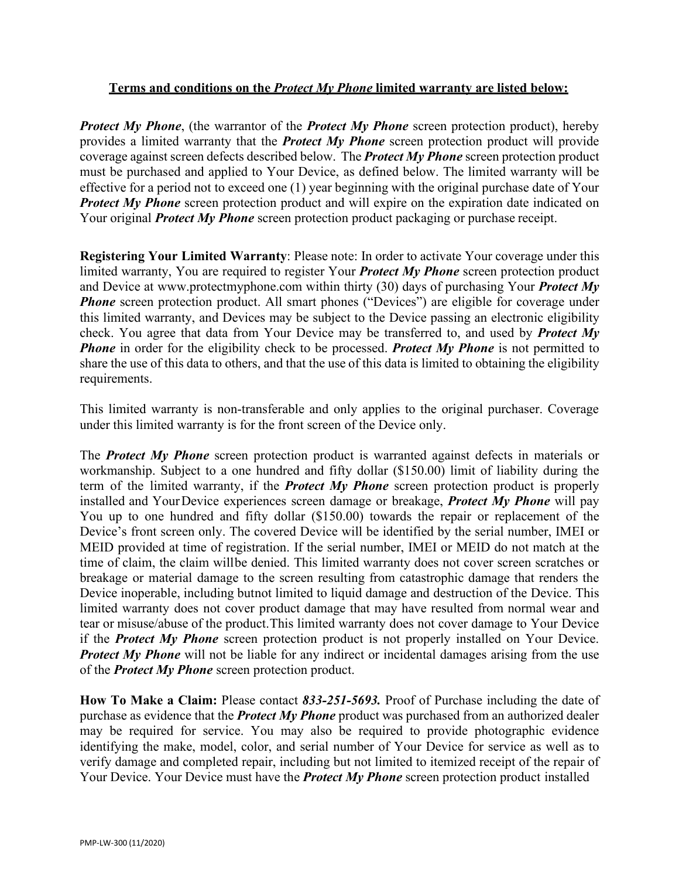## **Terms and conditions on the** *Protect My Phone* **limited warranty are listed below:**

*Protect My Phone*, (the warrantor of the *Protect My Phone* screen protection product), hereby provides a limited warranty that the *Protect My Phone* screen protection product will provide coverage against screen defects described below. The *Protect My Phone* screen protection product must be purchased and applied to Your Device, as defined below. The limited warranty will be effective for a period not to exceed one (1) year beginning with the original purchase date of Your **Protect My Phone** screen protection product and will expire on the expiration date indicated on Your original *Protect My Phone* screen protection product packaging or purchase receipt.

**Registering Your Limited Warranty**: Please note: In order to activate Your coverage under this limited warranty, You are required to register Your *Protect My Phone* screen protection product and Device at [www.protectmyphone.com w](http://www.protectmyphone.com/)ithin thirty (30) days of purchasing Your *Protect My Phone* screen protection product. All smart phones ("Devices") are eligible for coverage under this limited warranty, and Devices may be subject to the Device passing an electronic eligibility check. You agree that data from Your Device may be transferred to, and used by *Protect My Phone* in order for the eligibility check to be processed. *Protect My Phone* is not permitted to share the use of this data to others, and that the use of this data is limited to obtaining the eligibility requirements.

This limited warranty is non-transferable and only applies to the original purchaser. Coverage under this limited warranty is for the front screen of the Device only.

The *Protect My Phone* screen protection product is warranted against defects in materials or workmanship. Subject to a one hundred and fifty dollar (\$150.00) limit of liability during the term of the limited warranty, if the *Protect My Phone* screen protection product is properly installed and YourDevice experiences screen damage or breakage, *Protect My Phone* will pay You up to one hundred and fifty dollar (\$150.00) towards the repair or replacement of the Device's front screen only. The covered Device will be identified by the serial number, IMEI or MEID provided at time of registration. If the serial number, IMEI or MEID do not match at the time of claim, the claim willbe denied. This limited warranty does not cover screen scratches or breakage or material damage to the screen resulting from catastrophic damage that renders the Device inoperable, including butnot limited to liquid damage and destruction of the Device. This limited warranty does not cover product damage that may have resulted from normal wear and tear or misuse/abuse of the product.This limited warranty does not cover damage to Your Device if the *Protect My Phone* screen protection product is not properly installed on Your Device. **Protect My Phone** will not be liable for any indirect or incidental damages arising from the use of the *Protect My Phone* screen protection product.

**How To Make a Claim:** Please contact *833-251-5693.* Proof of Purchase including the date of purchase as evidence that the *Protect My Phone* product was purchased from an authorized dealer may be required for service. You may also be required to provide photographic evidence identifying the make, model, color, and serial number of Your Device for service as well as to verify damage and completed repair, including but not limited to itemized receipt of the repair of Your Device. Your Device must have the *Protect My Phone* screen protection product installed